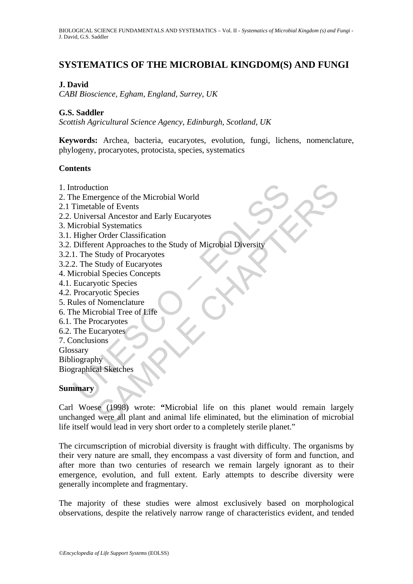# **SYSTEMATICS OF THE MICROBIAL KINGDOM(S) AND FUNGI**

# **J. David**

*CABI Bioscience, Egham, England, Surrey, UK* 

# **G.S. Saddler**

*Scottish Agricultural Science Agency, Edinburgh, Scotland, UK* 

**Keywords:** Archea, bacteria, eucaryotes, evolution, fungi, lichens, nomenclature, phylogeny, procaryotes, protocista, species, systematics

### **Contents**

- 1. Introduction
- 2. The Emergence of the Microbial World
- 2.1 Timetable of Events
- 2.2. Universal Ancestor and Early Eucaryotes
- 3. Microbial Systematics
- 3.1. Higher Order Classification
- the Emergence of the Microbial World<br>
Timetable of Events<br>
Universal Ancestor and Early Eucaryotes<br>
Universal Ancestor and Early Eucaryotes<br>
Incrobial Systematics<br>
Higher Order Classification<br>
Different Approaches to the S 3.2. Different Approaches to the Study of Microbial Diversity
- 3.2.1. The Study of Procaryotes
- 3.2.2. The Study of Eucaryotes
- 4. Microbial Species Concepts
- 4.1. Eucaryotic Species
- 4.2. Procaryotic Species
- 5. Rules of Nomenclature
- 6. The Microbial Tree of Life
- 6.1. The Procaryotes
- 6.2. The Eucaryotes
- 7. Conclusions
- Glossary
- Bibliography

Biographical Sketches

#### **Summary**

tion<br>
subset of the Microbial World<br>
Share and Early Eucaryotes<br>
stal Ancestor and Early Eucaryotes<br>
Star Charles to the Study of Microbial Diversity<br>
Study of Procaryotes<br>
Study of Eucaryotes<br>
Study of Eucaryotes<br>
study o Carl Woese (1998) wrote: **"**Microbial life on this planet would remain largely unchanged were all plant and animal life eliminated, but the elimination of microbial life itself would lead in very short order to a completely sterile planet."

The circumscription of microbial diversity is fraught with difficulty. The organisms by their very nature are small, they encompass a vast diversity of form and function, and after more than two centuries of research we remain largely ignorant as to their emergence, evolution, and full extent. Early attempts to describe diversity were generally incomplete and fragmentary.

The majority of these studies were almost exclusively based on morphological observations, despite the relatively narrow range of characteristics evident, and tended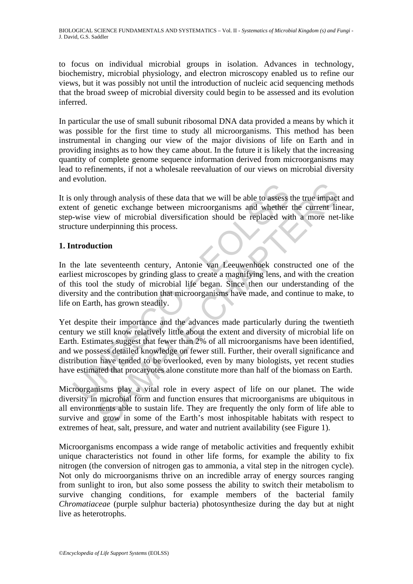BIOLOGICAL SCIENCE FUNDAMENTALS AND SYSTEMATICS – Vol. II - *Systematics of Microbial Kingdom (s) and Fungi* - J. David, G.S. Saddler

to focus on individual microbial groups in isolation. Advances in technology, biochemistry, microbial physiology, and electron microscopy enabled us to refine our views, but it was possibly not until the introduction of nucleic acid sequencing methods that the broad sweep of microbial diversity could begin to be assessed and its evolution inferred.

In particular the use of small subunit ribosomal DNA data provided a means by which it was possible for the first time to study all microorganisms. This method has been instrumental in changing our view of the major divisions of life on Earth and in providing insights as to how they came about. In the future it is likely that the increasing quantity of complete genome sequence information derived from microorganisms may lead to refinements, if not a wholesale reevaluation of our views on microbial diversity and evolution.

It is only through analysis of these data that we will be able to assess the true impact and extent of genetic exchange between microorganisms and whether the current linear, step-wise view of microbial diversification should be replaced with a more net-like structure underpinning this process.

### **1. Introduction**

In the late seventeenth century, Antonie van Leeuwenhoek constructed one of the earliest microscopes by grinding glass to create a magnifying lens, and with the creation of this tool the study of microbial life began. Since then our understanding of the diversity and the contribution that microorganisms have made, and continue to make, to life on Earth, has grown steadily.

only through analysis of these data that we will be able to assess ant of genetic exchange between microorganisms and whether -wise view of microbial diversification should be replaced wit<br>curre underpinning this process.<br> The move and the set at that we will be able to assess the true impact<br>genetic exchange between microorganisms and whether the current line<br>view of microbial diversification should be replaced with a more net-<br>meterprinnin Yet despite their importance and the advances made particularly during the twentieth century we still know relatively little about the extent and diversity of microbial life on Earth. Estimates suggest that fewer than 2% of all microorganisms have been identified, and we possess detailed knowledge on fewer still. Further, their overall significance and distribution have tended to be overlooked, even by many biologists, yet recent studies have estimated that procaryotes alone constitute more than half of the biomass on Earth.

Microorganisms play a vital role in every aspect of life on our planet. The wide diversity in microbial form and function ensures that microorganisms are ubiquitous in all environments able to sustain life. They are frequently the only form of life able to survive and grow in some of the Earth's most inhospitable habitats with respect to extremes of heat, salt, pressure, and water and nutrient availability (see Figure 1).

Microorganisms encompass a wide range of metabolic activities and frequently exhibit unique characteristics not found in other life forms, for example the ability to fix nitrogen (the conversion of nitrogen gas to ammonia, a vital step in the nitrogen cycle). Not only do microorganisms thrive on an incredible array of energy sources ranging from sunlight to iron, but also some possess the ability to switch their metabolism to survive changing conditions, for example members of the bacterial family *Chromatiaceae* (purple sulphur bacteria) photosynthesize during the day but at night live as heterotrophs.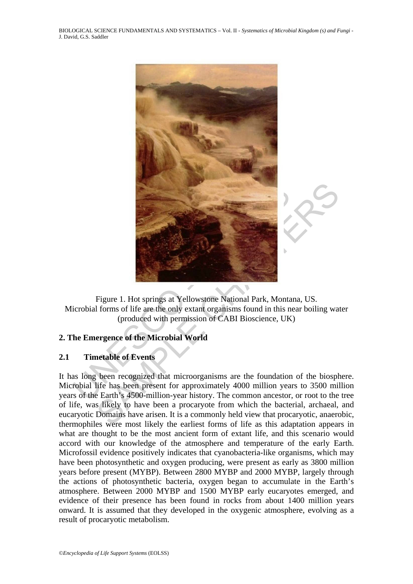BIOLOGICAL SCIENCE FUNDAMENTALS AND SYSTEMATICS – Vol. II - *Systematics of Microbial Kingdom (s) and Fungi* - J. David, G.S. Saddler



Figure 1. Hot springs at Yellowstone National Park, Montana, US. Microbial forms of life are the only extant organisms found in this near boiling water (produced with permission of CABI Bioscience, UK)

# **2. The Emergence of the Microbial World**

#### **2.1 Timetable of Events**

It has long been recognized that microorganisms are the foundation of the biosphere. Microbial life has been present for approximately 4000 million years to 3500 million years of the Earth's 4500-million-year history. The common ancestor, or root to the tree of life, was likely to have been a procaryote from which the bacterial, archaeal, and eucaryotic Domains have arisen. It is a commonly held view that procaryotic, anaerobic, thermophiles were most likely the earliest forms of life as this adaptation appears in what are thought to be the most ancient form of extant life, and this scenario would accord with our knowledge of the atmosphere and temperature of the early Earth. Microfossil evidence positively indicates that cyanobacteria-like organisms, which may have been photosynthetic and oxygen producing, were present as early as 3800 million years before present (MYBP). Between 2800 MYBP and 2000 MYBP, largely through the actions of photosynthetic bacteria, oxygen began to accumulate in the Earth's atmosphere. Between 2000 MYBP and 1500 MYBP early eucaryotes emerged, and evidence of their presence has been found in rocks from about 1400 million years onward. It is assumed that they developed in the oxygenic atmosphere, evolving as a result of procaryotic metabolism.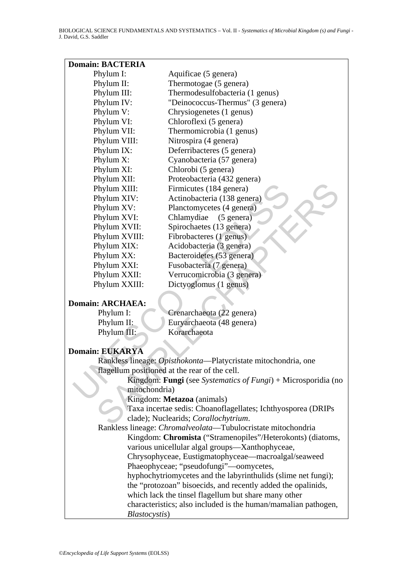| <b>Domain: BACTERIA</b> |                                                                |
|-------------------------|----------------------------------------------------------------|
| Phylum I:               | Aquificae (5 genera)                                           |
| Phylum II:              | Thermotogae (5 genera)                                         |
| Phylum III:             | Thermodesulfobacteria (1 genus)                                |
| Phylum IV:              | "Deinococcus-Thermus" (3 genera)                               |
| Phylum V:               | Chrysiogenetes (1 genus)                                       |
| Phylum VI:              | Chloroflexi (5 genera)                                         |
| Phylum VII:             | Thermomicrobia (1 genus)                                       |
| Phylum VIII:            | Nitrospira (4 genera)                                          |
| Phylum IX:              | Deferribacteres (5 genera)                                     |
| Phylum X:               | Cyanobacteria (57 genera)                                      |
| Phylum XI:              | Chlorobi (5 genera)                                            |
| Phylum XII:             | Proteobacteria (432 genera)                                    |
| Phylum XIII:            | Firmicutes (184 genera)                                        |
| Phylum XIV:             | Actinobacteria (138 genera)                                    |
| Phylum XV:              | Planctomycetes (4 genera)                                      |
| Phylum XVI:             | Chlamydiae<br>$(5 \text{ genera})$                             |
| Phylum XVII:            | Spirochaetes (13 genera)                                       |
| Phylum XVIII:           | Fibrobacteres (1 genus)                                        |
| Phylum XIX:             | Acidobacteria (3 genera)                                       |
| Phylum XX:              | Bacteroidetes (53 genera)                                      |
| Phylum XXI:             | Fusobacteria (7 genera)                                        |
| Phylum XXII:            | Verrucomicrobia (3 genera)                                     |
| Phylum XXIII:           | Dictyoglomus (1 genus)                                         |
| <b>Domain: ARCHAEA:</b> |                                                                |
| Phylum I:               | Crenarchaeota (22 genera)                                      |
| Phylum II:              | Euryarchaeota (48 genera)                                      |
| Phylum III:             | Korarchaeota                                                   |
| <b>Domain: EUKARYA</b>  |                                                                |
|                         | Rankless lineage: Opisthokonta-Platycristate mitochondria, one |
|                         | flagellum positioned at the rear of the cell.                  |
|                         | Kingdom: Fungi (see Systematics of Fungi) + Microsporidia (no  |
| mitochondria)           |                                                                |
|                         | Kingdom: Metazoa (animals)                                     |
|                         | Taxa incertae sedis: Choanoflagellates; Ichthyosporea (DRIPs)  |
|                         | clade); Nuclearids; Corallochytrium.                           |
|                         |                                                                |

#### **Domain: ARCHAEA:**

| Phylum I:   | Crenarchaeota (22 genera) |
|-------------|---------------------------|
| Phylum II:  | Euryarchaeota (48 genera) |
| Phylum III: | Korarchaeota              |

# **Domain: EUKARYA**

 Rankless lineage: *Chromalveolata*—Tubulocristate mitochondria Kingdom: **Chromista** ("Stramenopiles"/Heterokonts) (diatoms, various unicellular algal groups—Xanthophyceae, Chrysophyceae, Eustigmatophyceae—macroalgal/seaweed Phaeophyceae; "pseudofungi"—oomycetes, hyphochytriomycetes and the labyrinthulids (slime net fungi); the "protozoan" bisoecids, and recently added the opalinids, which lack the tinsel flagellum but share many other characteristics; also included is the human/mamalian pathogen, *Blastocystis*)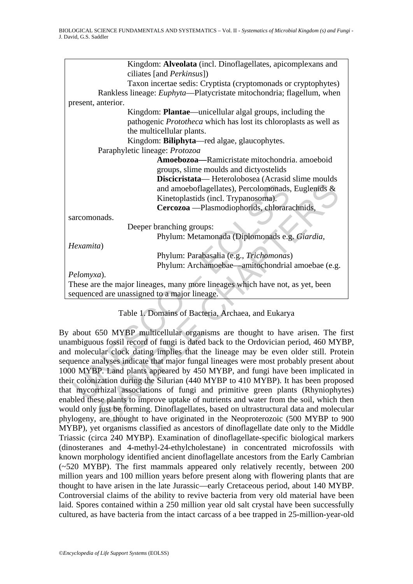|                                                                                       | Kingdom: Alveolata (incl. Dinoflagellates, apicomplexans and<br>ciliates [and <i>Perkinsus</i> ]) |  |  |  |
|---------------------------------------------------------------------------------------|---------------------------------------------------------------------------------------------------|--|--|--|
|                                                                                       | Taxon incertae sedis: Cryptista (cryptomonads or cryptophytes)                                    |  |  |  |
|                                                                                       | Rankless lineage: Euphyta-Platycristate mitochondria; flagellum, when                             |  |  |  |
|                                                                                       | present, anterior.                                                                                |  |  |  |
|                                                                                       | Kingdom: Plantae—unicellular algal groups, including the                                          |  |  |  |
|                                                                                       | pathogenic Prototheca which has lost its chloroplasts as well as                                  |  |  |  |
|                                                                                       | the multicellular plants.                                                                         |  |  |  |
|                                                                                       | Kingdom: Biliphyta-red algae, glaucophytes.                                                       |  |  |  |
|                                                                                       | Paraphyletic lineage: Protozoa                                                                    |  |  |  |
|                                                                                       | Amoebozoa-Ramicristate mitochondria. amoeboid                                                     |  |  |  |
|                                                                                       | groups, slime moulds and dictyostelids                                                            |  |  |  |
|                                                                                       | Discicristata-Heterolobosea (Acrasid slime moulds                                                 |  |  |  |
|                                                                                       | and amoeboflagellates), Percolomonads, Euglenids &                                                |  |  |  |
|                                                                                       | Kinetoplastids (incl. Trypanosoma).                                                               |  |  |  |
|                                                                                       | Cercozoa - Plasmodiophorids, chlorarachnids,                                                      |  |  |  |
|                                                                                       | sarcomonads.                                                                                      |  |  |  |
|                                                                                       | Deeper branching groups:                                                                          |  |  |  |
|                                                                                       | Phylum: Metamonada (Diplomonads e.g. Giardia,                                                     |  |  |  |
|                                                                                       | Hexamita)                                                                                         |  |  |  |
|                                                                                       | Phylum: Parabasalia (e.g., Trichomonas)                                                           |  |  |  |
|                                                                                       | Phylum: Archamoebae—amitochondrial amoebae (e.g.                                                  |  |  |  |
|                                                                                       | Pelomyxa).                                                                                        |  |  |  |
|                                                                                       | These are the major lineages, many more lineages which have not, as yet, been                     |  |  |  |
|                                                                                       | sequenced are unassigned to a major lineage.                                                      |  |  |  |
|                                                                                       |                                                                                                   |  |  |  |
|                                                                                       | Table 1. Domains of Bacteria, Archaea, and Eukarya                                                |  |  |  |
|                                                                                       |                                                                                                   |  |  |  |
|                                                                                       | By about 650 MYBP multicellular organisms are thought to have arisen. The fir                     |  |  |  |
|                                                                                       | nambiguous fossil record of fungi is dated back to the Ordovician period, 460 MYB                 |  |  |  |
|                                                                                       | nd molecular clock dating implies that the lineage may be even older still. Prote                 |  |  |  |
|                                                                                       | equence analyses indicate that major fungal lineages were most probably present abo               |  |  |  |
|                                                                                       | 000 MYBP. Land plants appeared by 450 MYBP, and fungi have been implicated                        |  |  |  |
|                                                                                       | neir colonization during the Silurian (440 MYBP to 410 MYBP). It has been propose                 |  |  |  |
| nat mycorrhizal associations of fungi and primitive green plants (Rhyniophyte         |                                                                                                   |  |  |  |
| nabled these plants to improve uptake of nutrients and water from the soil, which the |                                                                                                   |  |  |  |
| ould only just be forming. Dinoflagellates, based on ultrastructural data and molecul |                                                                                                   |  |  |  |
|                                                                                       | hylogeny, are thought to have originated in the Neoproterozoic (500 MYBP to 90                    |  |  |  |
|                                                                                       |                                                                                                   |  |  |  |

# Table 1. Domains of Bacteria, Archaea, and Eukarya

By about 650 MYBP multicellular organisms are thought to have arisen. The first unambiguous fossil record of fungi is dated back to the Ordovician period, 460 MYBP, and molecular clock dating implies that the lineage may be even older still. Protein sequence analyses indicate that major fungal lineages were most probably present about 1000 MYBP. Land plants appeared by 450 MYBP, and fungi have been implicated in their colonization during the Silurian (440 MYBP to 410 MYBP). It has been proposed that mycorrhizal associations of fungi and primitive green plants (Rhyniophytes) enabled these plants to improve uptake of nutrients and water from the soil, which then would only just be forming. Dinoflagellates, based on ultrastructural data and molecular phylogeny, are thought to have originated in the Neoproterozoic (500 MYBP to 900 MYBP), yet organisms classified as ancestors of dinoflagellate date only to the Middle Triassic (circa 240 MYBP). Examination of dinoflagellate-specific biological markers (dinosteranes and 4-methyl-24-ethylcholestane) in concentrated microfossils with known morphology identified ancient dinoflagellate ancestors from the Early Cambrian (~520 MYBP). The first mammals appeared only relatively recently, between 200 million years and 100 million years before present along with flowering plants that are thought to have arisen in the late Jurassic—early Cretaceous period, about 140 MYBP. Controversial claims of the ability to revive bacteria from very old material have been laid. Spores contained within a 250 million year old salt crystal have been successfully cultured, as have bacteria from the intact carcass of a bee trapped in 25-million-year-old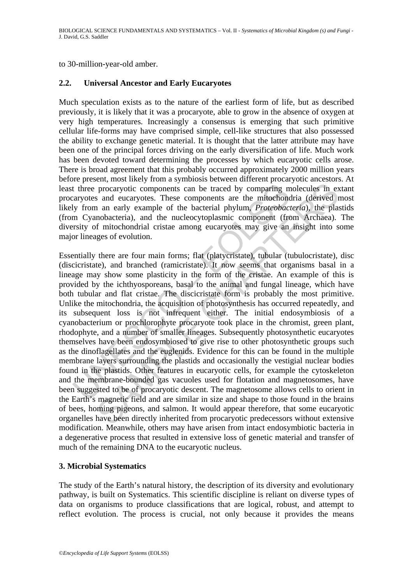to 30-million-year-old amber.

# **2.2. Universal Ancestor and Early Eucaryotes**

Much speculation exists as to the nature of the earliest form of life, but as described previously, it is likely that it was a procaryote, able to grow in the absence of oxygen at very high temperatures. Increasingly a consensus is emerging that such primitive cellular life-forms may have comprised simple, cell-like structures that also possessed the ability to exchange genetic material. It is thought that the latter attribute may have been one of the principal forces driving on the early diversification of life. Much work has been devoted toward determining the processes by which eucaryotic cells arose. There is broad agreement that this probably occurred approximately 2000 million years before present, most likely from a symbiosis between different procaryotic ancestors. At least three procaryotic components can be traced by comparing molecules in extant procaryotes and eucaryotes. These components are the mitochondria (derived most likely from an early example of the bacterial phylum, *Proteobacteria*), the plastids (from Cyanobacteria), and the nucleocytoplasmic component (from Archaea). The diversity of mitochondrial cristae among eucaryotes may give an insight into some major lineages of evolution.

t three procaryotic components can be traced by comparing m<br>aryotes and eucaryotes. These components are the mitochonc<br>ly from an early example of the bacterial phylum, *Proteobacic*<br>m Cyanobacteria), and the nucleocytopla means an energy standary of the backeting molecules in expectation procaryotic components can be traced by comparing molecules in ex<br>and eucaryotes. These components are the mitoehondria (derived n an early example of the Essentially there are four main forms; flat (platycristate), tubular (tubulocristate), disc (discicristate), and branched (ramicristate). It now seems that organisms basal in a lineage may show some plasticity in the form of the cristae. An example of this is provided by the ichthyosporeans, basal to the animal and fungal lineage, which have both tubular and flat cristae. The discicristate form is probably the most primitive. Unlike the mitochondria, the acquisition of photosynthesis has occurred repeatedly, and its subsequent loss is not infrequent either. The initial endosymbiosis of a cyanobacterium or prochlorophyte procaryote took place in the chromist, green plant, rhodophyte, and a number of smaller lineages. Subsequently photosynthetic eucaryotes themselves have been endosymbiosed to give rise to other photosynthetic groups such as the dinoflagellates and the euglenids. Evidence for this can be found in the multiple membrane layers surrounding the plastids and occasionally the vestigial nuclear bodies found in the plastids. Other features in eucaryotic cells, for example the cytoskeleton and the membrane-bounded gas vacuoles used for flotation and magnetosomes, have been suggested to be of procaryotic descent. The magnetosome allows cells to orient in the Earth's magnetic field and are similar in size and shape to those found in the brains of bees, homing pigeons, and salmon. It would appear therefore, that some eucaryotic organelles have been directly inherited from procaryotic predecessors without extensive modification. Meanwhile, others may have arisen from intact endosymbiotic bacteria in a degenerative process that resulted in extensive loss of genetic material and transfer of much of the remaining DNA to the eucaryotic nucleus.

# **3. Microbial Systematics**

The study of the Earth's natural history, the description of its diversity and evolutionary pathway, is built on Systematics. This scientific discipline is reliant on diverse types of data on organisms to produce classifications that are logical, robust, and attempt to reflect evolution. The process is crucial, not only because it provides the means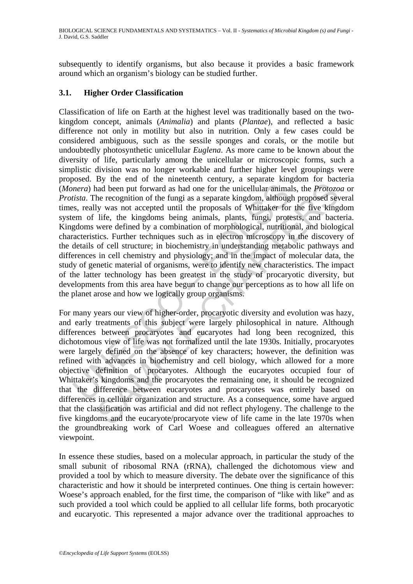subsequently to identify organisms, but also because it provides a basic framework around which an organism's biology can be studied further.

# **3.1. Higher Order Classification**

mera) had been put forward as had one for the unicellular anima<br>tista. The recognition of the fungi as a separate kingdom, althouges, really was not accepted until the proposals of Whittaker for<br>em of life, the kingdoms be Classification of life on Earth at the highest level was traditionally based on the twokingdom concept, animals (*Animalia*) and plants (*Plantae*), and reflected a basic difference not only in motility but also in nutrition. Only a few cases could be considered ambiguous, such as the sessile sponges and corals, or the motile but undoubtedly photosynthetic unicellular *Euglena*. As more came to be known about the diversity of life, particularly among the unicellular or microscopic forms, such a simplistic division was no longer workable and further higher level groupings were proposed. By the end of the nineteenth century, a separate kingdom for bacteria (*Monera*) had been put forward as had one for the unicellular animals, the *Protozoa* or *Protista*. The recognition of the fungi as a separate kingdom, although proposed several times, really was not accepted until the proposals of Whittaker for the five kingdom system of life, the kingdoms being animals, plants, fungi, protests, and bacteria. Kingdoms were defined by a combination of morphological, nutritional, and biological characteristics. Further techniques such as in electron microscopy in the discovery of the details of cell structure; in biochemistry in understanding metabolic pathways and differences in cell chemistry and physiology; and in the impact of molecular data, the study of genetic material of organisms, were to identify new characteristics. The impact of the latter technology has been greatest in the study of procaryotic diversity, but developments from this area have begun to change our perceptions as to how all life on the planet arose and how we logically group organisms.

Ey are out of the minivalent potation, a separate including minimals, the *Protozo*<br>and been put forward as had one for the unicellular animals, the *Protozo*<br>he recognition of the fingi as a separate kingdom, although pr For many years our view of higher-order, procaryotic diversity and evolution was hazy, and early treatments of this subject were largely philosophical in nature. Although differences between procaryotes and eucaryotes had long been recognized, this dichotomous view of life was not formalized until the late 1930s. Initially, procaryotes were largely defined on the absence of key characters; however, the definition was refined with advances in biochemistry and cell biology, which allowed for a more objective definition of procaryotes. Although the eucaryotes occupied four of Whittaker's kingdoms and the procaryotes the remaining one, it should be recognized that the difference between eucaryotes and procaryotes was entirely based on differences in cellular organization and structure. As a consequence, some have argued that the classification was artificial and did not reflect phylogeny. The challenge to the five kingdoms and the eucaryote/procaryote view of life came in the late 1970s when the groundbreaking work of Carl Woese and colleagues offered an alternative viewpoint.

In essence these studies, based on a molecular approach, in particular the study of the small subunit of ribosomal RNA (rRNA), challenged the dichotomous view and provided a tool by which to measure diversity. The debate over the significance of this characteristic and how it should be interpreted continues. One thing is certain however: Woese's approach enabled, for the first time, the comparison of "like with like" and as such provided a tool which could be applied to all cellular life forms, both procaryotic and eucaryotic. This represented a major advance over the traditional approaches to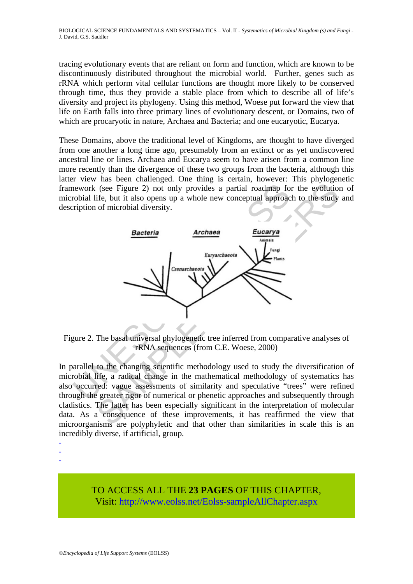tracing evolutionary events that are reliant on form and function, which are known to be discontinuously distributed throughout the microbial world. Further, genes such as rRNA which perform vital cellular functions are thought more likely to be conserved through time, thus they provide a stable place from which to describe all of life's diversity and project its phylogeny. Using this method, Woese put forward the view that life on Earth falls into three primary lines of evolutionary descent, or Domains, two of which are procaryotic in nature, Archaea and Bacteria; and one eucaryotic, Eucarya.

These Domains, above the traditional level of Kingdoms, are thought to have diverged from one another a long time ago, presumably from an extinct or as yet undiscovered ancestral line or lines. Archaea and Eucarya seem to have arisen from a common line more recently than the divergence of these two groups from the bacteria, although this latter view has been challenged. One thing is certain, however: This phylogenetic framework (see Figure 2) not only provides a partial roadmap for the evolution of microbial life, but it also opens up a whole new conceptual approach to the study and description of microbial diversity.



Figure 2. The basal universal phylogenetic tree inferred from comparative analyses of rRNA sequences (from C.E. Woese, 2000)

In parallel to the changing scientific methodology used to study the diversification of microbial life, a radical change in the mathematical methodology of systematics has also occurred: vague assessments of similarity and speculative "trees" were refined through the greater rigor of numerical or phenetic approaches and subsequently through cladistics. The latter has been especially significant in the interpretation of molecular data. As a consequence of these improvements, it has reaffirmed the view that microorganisms are polyphyletic and that other than similarities in scale this is an incredibly diverse, if artificial, group.

-

- -

> TO ACCESS ALL THE **23 PAGES** OF THIS CHAPTER, Visit[: http://www.eolss.net/Eolss-sampleAllChapter.aspx](https://www.eolss.net/ebooklib/sc_cart.aspx?File=E6-71-05)